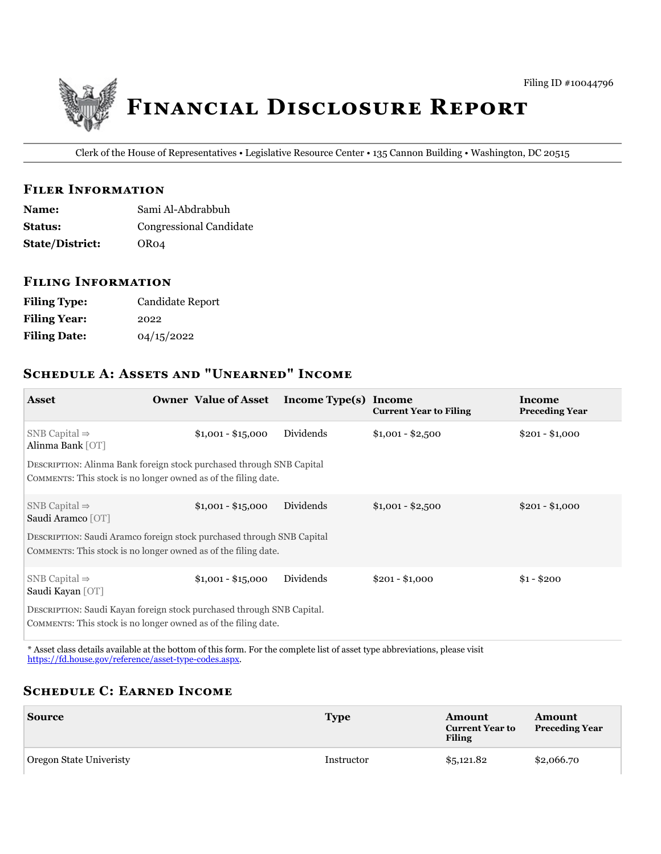

Clerk of the House of Representatives • Legislative Resource Center • 135 Cannon Building • Washington, DC 20515

### **FILER INFORMATION**

| <b>Name:</b>           | Sami Al-Abdrabbuh              |
|------------------------|--------------------------------|
| <b>Status:</b>         | <b>Congressional Candidate</b> |
| <b>State/District:</b> | OR04                           |

### **FILING INFORMATION**

| <b>Filing Type:</b> | <b>Candidate Report</b> |
|---------------------|-------------------------|
| <b>Filing Year:</b> | 2022                    |
| <b>Filing Date:</b> | 04/15/2022              |

# **SCHEDULE A: ASSETS AND "UNEARNED" INCOME**

| <b>Asset</b>                                                                                                                            |  | <b>Owner Value of Asset</b> | Income Type(s) Income | <b>Current Year to Filing</b> | <b>Income</b><br><b>Preceding Year</b> |
|-----------------------------------------------------------------------------------------------------------------------------------------|--|-----------------------------|-----------------------|-------------------------------|----------------------------------------|
| SNB Capital $\Rightarrow$<br>Alinma Bank [OT]                                                                                           |  | $$1,001 - $15,000$          | Dividends             | $$1,001 - $2,500$             | $$201 - $1,000$                        |
| DESCRIPTION: Alinma Bank foreign stock purchased through SNB Capital<br>COMMENTS: This stock is no longer owned as of the filing date.  |  |                             |                       |                               |                                        |
| SNB Capital $\Rightarrow$<br>Saudi Aramco [OT]                                                                                          |  | $$1,001 - $15,000$          | Dividends             | $$1,001 - $2,500$             | $$201 - $1,000$                        |
| DESCRIPTION: Saudi Aramco foreign stock purchased through SNB Capital<br>COMMENTS: This stock is no longer owned as of the filing date. |  |                             |                       |                               |                                        |
| SNB Capital $\Rightarrow$<br>Saudi Kayan [OT]                                                                                           |  | $$1,001 - $15,000$          | Dividends             | $$201 - $1,000$               | $$1 - $200$                            |
| DESCRIPTION: Saudi Kayan foreign stock purchased through SNB Capital.<br>COMMENTS: This stock is no longer owned as of the filing date. |  |                             |                       |                               |                                        |

\* Asset class details available at the bottom of this form. For the complete list of asset type abbreviations, please visit https://fd.house.gov/reference/asset-type-codes.aspx.

# **SCHEDULE C: EARNED INCOME**

| <b>Source</b>           | <b>Type</b> | Amount<br><b>Current Year to</b><br><b>Filing</b> | Amount<br><b>Preceding Year</b> |
|-------------------------|-------------|---------------------------------------------------|---------------------------------|
| Oregon State Univeristy | Instructor  | \$5,121.82                                        | \$2,066.70                      |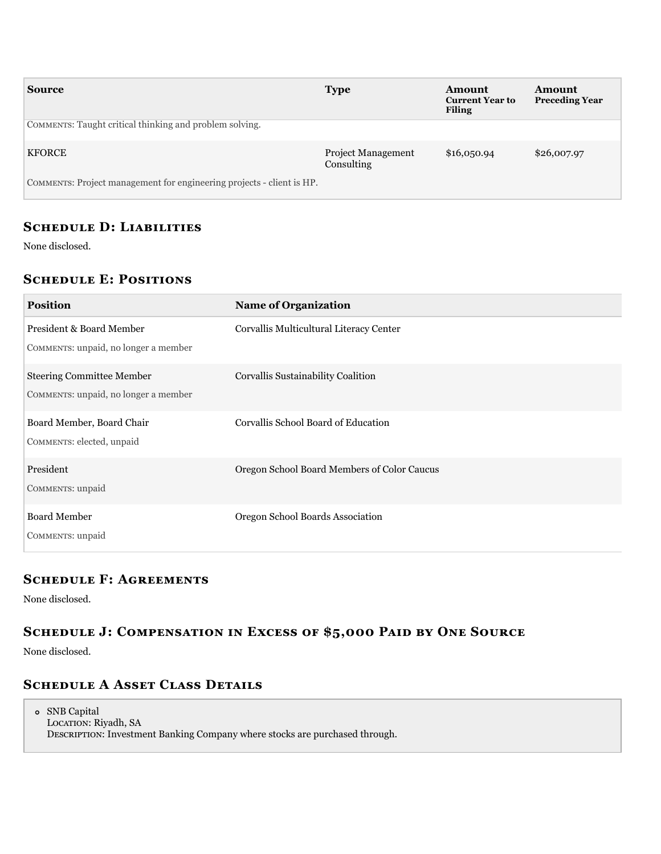| <b>Source</b>                                                         | <b>Type</b>                             | Amount<br><b>Current Year to</b><br><b>Filing</b> | <b>Amount</b><br><b>Preceding Year</b> |
|-----------------------------------------------------------------------|-----------------------------------------|---------------------------------------------------|----------------------------------------|
| COMMENTS: Taught critical thinking and problem solving.               |                                         |                                                   |                                        |
| <b>KFORCE</b>                                                         | <b>Project Management</b><br>Consulting | \$16,050.94                                       | \$26,007.97                            |
| COMMENTS: Project management for engineering projects - client is HP. |                                         |                                                   |                                        |

### **SCHEDULE D: LIABILITIES**

None disclosed.

# **SCHEDULE E: POSITIONS**

| <b>Position</b>                                                          | <b>Name of Organization</b>                 |
|--------------------------------------------------------------------------|---------------------------------------------|
| President & Board Member<br>COMMENTS: unpaid, no longer a member         | Corvallis Multicultural Literacy Center     |
| <b>Steering Committee Member</b><br>COMMENTS: unpaid, no longer a member | Corvallis Sustainability Coalition          |
| Board Member, Board Chair<br>COMMENTS: elected, unpaid                   | Corvallis School Board of Education         |
| President<br>COMMENTS: unpaid                                            | Oregon School Board Members of Color Caucus |
| <b>Board Member</b><br>COMMENTS: unpaid                                  | Oregon School Boards Association            |

## **SCHEDULE F: AGREEMENTS**

None disclosed.

# SCHEDULE J: COMPENSATION IN EXCESS OF \$5,000 PAID BY ONE SOURCE

None disclosed.

# **SCHEDULE A ASSET CLASS DETAILS**

SNB Capital LOCATION: Riyadh, SA DESCRIPTION: Investment Banking Company where stocks are purchased through.